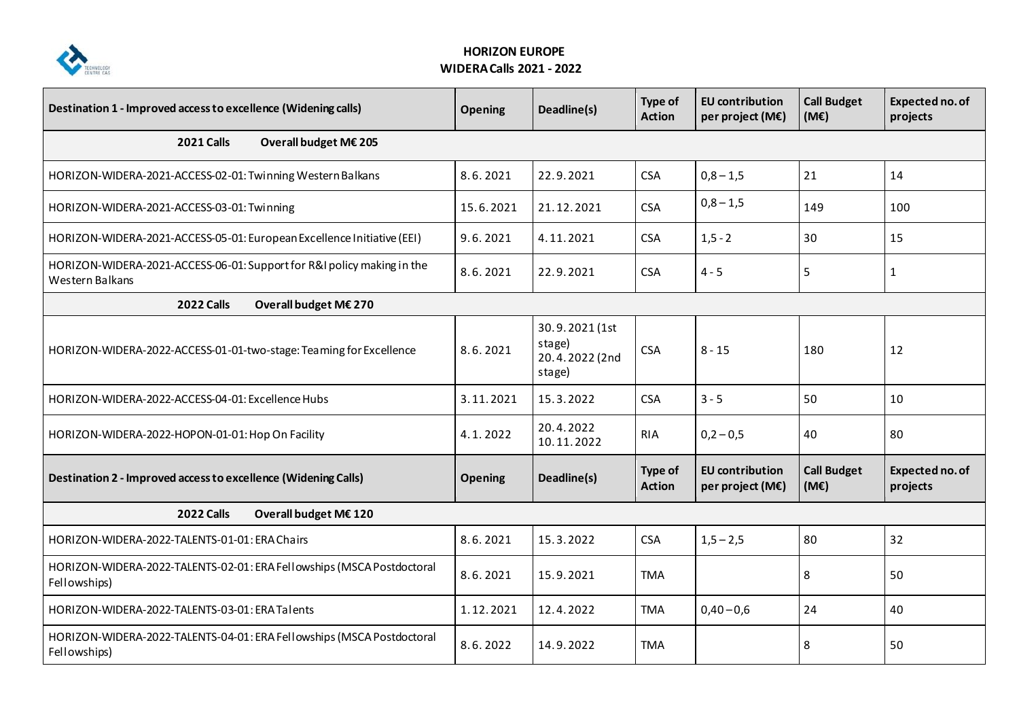

## **HORIZON EUROPE WIDERACalls 2021 - 2022**

| Destination 1 - Improved access to excellence (Widening calls)                            | <b>Opening</b> | Deadline(s)                                          | Type of<br><b>Action</b> | <b>EU</b> contribution<br>per project (M€) | <b>Call Budget</b><br>(ME) | Expected no. of<br>projects |  |  |
|-------------------------------------------------------------------------------------------|----------------|------------------------------------------------------|--------------------------|--------------------------------------------|----------------------------|-----------------------------|--|--|
| <b>2021 Calls</b><br>Overall budget M€ 205                                                |                |                                                      |                          |                                            |                            |                             |  |  |
| HORIZON-WIDERA-2021-ACCESS-02-01: Twinning Western Balkans                                | 8.6.2021       | 22.9.2021                                            | <b>CSA</b>               | $0,8 - 1,5$                                | 21                         | 14                          |  |  |
| HORIZON-WIDERA-2021-ACCESS-03-01: Twinning                                                | 15.6.2021      | 21.12.2021                                           | <b>CSA</b>               | $0,8 - 1,5$                                | 149                        | 100                         |  |  |
| HORIZON-WIDERA-2021-ACCESS-05-01: European Excellence Initiative (EEI)                    | 9.6.2021       | 4.11.2021                                            | <b>CSA</b>               | $1, 5 - 2$                                 | 30                         | 15                          |  |  |
| HORIZON-WIDERA-2021-ACCESS-06-01: Support for R&I policy making in the<br>Western Balkans | 8.6.2021       | 22.9.2021                                            | <b>CSA</b>               | $4 - 5$                                    | 5                          | $\mathbf{1}$                |  |  |
| <b>2022 Calls</b><br>Overall budget M€ 270                                                |                |                                                      |                          |                                            |                            |                             |  |  |
| HORIZON-WIDERA-2022-ACCESS-01-01-two-stage: Teaming for Excellence                        | 8.6.2021       | 30.9.2021 (1st<br>stage)<br>20.4.2022 (2nd<br>stage) | <b>CSA</b>               | $8 - 15$                                   | 180                        | 12                          |  |  |
| HORIZON-WIDERA-2022-ACCESS-04-01: Excellence Hubs                                         | 3.11.2021      | 15.3.2022                                            | <b>CSA</b>               | $3 - 5$                                    | 50                         | 10                          |  |  |
| HORIZON-WIDERA-2022-HOPON-01-01: Hop On Facility                                          | 4.1.2022       | 20.4.2022<br>10.11.2022                              | <b>RIA</b>               | $0,2 - 0,5$                                | 40                         | 80                          |  |  |
| Destination 2 - Improved access to excellence (Widening Calls)                            | <b>Opening</b> | Deadline(s)                                          | Type of<br><b>Action</b> | <b>EU</b> contribution<br>per project (M€) | <b>Call Budget</b><br>(ME) | Expected no. of<br>projects |  |  |
| <b>2022 Calls</b><br>Overall budget M€ 120                                                |                |                                                      |                          |                                            |                            |                             |  |  |
| HORIZON-WIDERA-2022-TALENTS-01-01: ERA Chairs                                             | 8.6.2021       | 15.3.2022                                            | <b>CSA</b>               | $1,5 - 2,5$                                | 80                         | 32                          |  |  |
| HORIZON-WIDERA-2022-TALENTS-02-01: ERA Fellowships (MSCA Postdoctoral<br>Fellowships)     | 8.6.2021       | 15.9.2021                                            | <b>TMA</b>               |                                            | 8                          | 50                          |  |  |
| HORIZON-WIDERA-2022-TALENTS-03-01: ERA Talents                                            | 1.12.2021      | 12.4.2022                                            | <b>TMA</b>               | $0,40 - 0,6$                               | 24                         | 40                          |  |  |
| HORIZON-WIDERA-2022-TALENTS-04-01: ERA Fellowships (MSCA Postdoctoral<br>Fellowships)     | 8.6.2022       | 14.9.2022                                            | <b>TMA</b>               |                                            | 8                          | 50                          |  |  |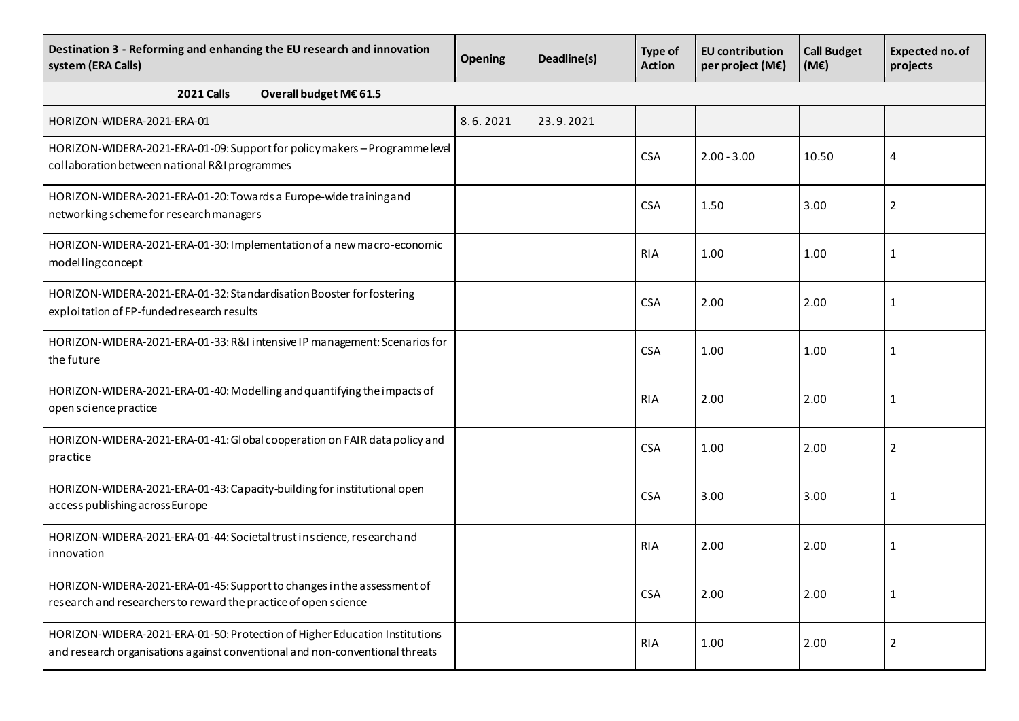| Destination 3 - Reforming and enhancing the EU research and innovation<br>system (ERA Calls)                                                               | <b>Opening</b> | Deadline(s) | <b>Type of</b><br><b>Action</b> | <b>EU</b> contribution<br>per project (M€) | <b>Call Budget</b><br>$(M\varepsilon)$ | Expected no. of<br>projects |  |  |
|------------------------------------------------------------------------------------------------------------------------------------------------------------|----------------|-------------|---------------------------------|--------------------------------------------|----------------------------------------|-----------------------------|--|--|
| <b>2021 Calls</b><br>Overall budget M€ 61.5                                                                                                                |                |             |                                 |                                            |                                        |                             |  |  |
| HORIZON-WIDERA-2021-ERA-01                                                                                                                                 | 8.6.2021       | 23.9.2021   |                                 |                                            |                                        |                             |  |  |
| HORIZON-WIDERA-2021-ERA-01-09: Support for policy makers - Programme level<br>collaboration between national R&I programmes                                |                |             | <b>CSA</b>                      | $2.00 - 3.00$                              | 10.50                                  | 4                           |  |  |
| HORIZON-WIDERA-2021-ERA-01-20: Towards a Europe-wide training and<br>networking scheme for research managers                                               |                |             | <b>CSA</b>                      | 1.50                                       | 3.00                                   | 2                           |  |  |
| HORIZON-WIDERA-2021-ERA-01-30: Implementation of a new macro-economic<br>modellingconcept                                                                  |                |             | <b>RIA</b>                      | 1.00                                       | 1.00                                   | 1                           |  |  |
| HORIZON-WIDERA-2021-ERA-01-32: Standardisation Booster for fostering<br>exploitation of FP-funded research results                                         |                |             | <b>CSA</b>                      | 2.00                                       | 2.00                                   | 1                           |  |  |
| HORIZON-WIDERA-2021-ERA-01-33: R&I intensive IP management: Scenarios for<br>the future                                                                    |                |             | <b>CSA</b>                      | 1.00                                       | 1.00                                   | 1                           |  |  |
| HORIZON-WIDERA-2021-ERA-01-40: Modelling and quantifying the impacts of<br>open science practice                                                           |                |             | <b>RIA</b>                      | 2.00                                       | 2.00                                   | 1                           |  |  |
| HORIZON-WIDERA-2021-ERA-01-41: Global cooperation on FAIR data policy and<br>practice                                                                      |                |             | <b>CSA</b>                      | 1.00                                       | 2.00                                   | 2                           |  |  |
| HORIZON-WIDERA-2021-ERA-01-43: Capacity-building for institutional open<br>access publishing across Europe                                                 |                |             | <b>CSA</b>                      | 3.00                                       | 3.00                                   | $\mathbf{1}$                |  |  |
| HORIZON-WIDERA-2021-ERA-01-44: Societal trust in science, research and<br>innovation                                                                       |                |             | <b>RIA</b>                      | 2.00                                       | 2.00                                   | 1                           |  |  |
| HORIZON-WIDERA-2021-ERA-01-45: Support to changes in the assessment of<br>research and researchers to reward the practice of open science                  |                |             | <b>CSA</b>                      | 2.00                                       | 2.00                                   | $\mathbf{1}$                |  |  |
| HORIZON-WIDERA-2021-ERA-01-50: Protection of Higher Education Institutions<br>and research organisations against conventional and non-conventional threats |                |             | <b>RIA</b>                      | 1.00                                       | 2.00                                   | $\overline{2}$              |  |  |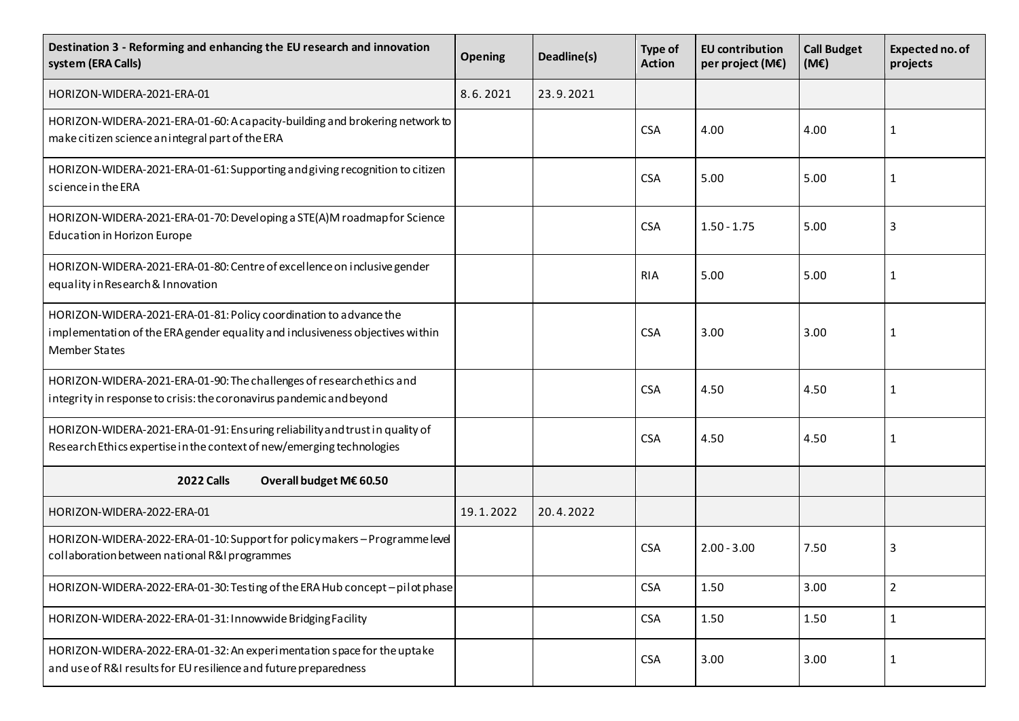| Destination 3 - Reforming and enhancing the EU research and innovation<br>system (ERA Calls)                                                                               | <b>Opening</b> | Deadline(s) | Type of<br><b>Action</b> | <b>EU</b> contribution<br>per project (M€) | <b>Call Budget</b><br>(ME) | Expected no. of<br>projects |
|----------------------------------------------------------------------------------------------------------------------------------------------------------------------------|----------------|-------------|--------------------------|--------------------------------------------|----------------------------|-----------------------------|
| HORIZON-WIDERA-2021-ERA-01                                                                                                                                                 | 8.6.2021       | 23.9.2021   |                          |                                            |                            |                             |
| HORIZON-WIDERA-2021-ERA-01-60: A capacity-building and brokering network to<br>make citizen science an integral part of the ERA                                            |                |             | <b>CSA</b>               | 4.00                                       | 4.00                       | 1                           |
| HORIZON-WIDERA-2021-ERA-01-61: Supporting and giving recognition to citizen<br>science in the ERA                                                                          |                |             | <b>CSA</b>               | 5.00                                       | 5.00                       | 1                           |
| HORIZON-WIDERA-2021-ERA-01-70: Developing a STE(A)M roadmap for Science<br>Education in Horizon Europe                                                                     |                |             | <b>CSA</b>               | $1.50 - 1.75$                              | 5.00                       | 3                           |
| HORIZON-WIDERA-2021-ERA-01-80: Centre of excellence on inclusive gender<br>equality in Research & Innovation                                                               |                |             | <b>RIA</b>               | 5.00                                       | 5.00                       | 1                           |
| HORIZON-WIDERA-2021-ERA-01-81: Policy coordination to advance the<br>implementation of the ERA gender equality and inclusiveness objectives within<br><b>Member States</b> |                |             | <b>CSA</b>               | 3.00                                       | 3.00                       | 1                           |
| HORIZON-WIDERA-2021-ERA-01-90: The challenges of research ethics and<br>integrity in response to crisis: the coronavirus pandemic and beyond                               |                |             | <b>CSA</b>               | 4.50                                       | 4.50                       | 1                           |
| HORIZON-WIDERA-2021-ERA-01-91: Ensuring reliability and trust in quality of<br>Research Ethics expertise in the context of new/emerging technologies                       |                |             | <b>CSA</b>               | 4.50                                       | 4.50                       | 1                           |
| <b>2022 Calls</b><br>Overall budget M€ 60.50                                                                                                                               |                |             |                          |                                            |                            |                             |
| HORIZON-WIDERA-2022-ERA-01                                                                                                                                                 | 19.1.2022      | 20.4.2022   |                          |                                            |                            |                             |
| HORIZON-WIDERA-2022-ERA-01-10: Support for policy makers - Programme level<br>collaboration between national R&I programmes                                                |                |             | <b>CSA</b>               | $2.00 - 3.00$                              | 7.50                       | 3                           |
| HORIZON-WIDERA-2022-ERA-01-30: Testing of the ERA Hub concept-pilot phase                                                                                                  |                |             | <b>CSA</b>               | 1.50                                       | 3.00                       | $\overline{2}$              |
| HORIZON-WIDERA-2022-ERA-01-31: Innowwide Bridging Facility                                                                                                                 |                |             | <b>CSA</b>               | 1.50                                       | 1.50                       | $\mathbf{1}$                |
| HORIZON-WIDERA-2022-ERA-01-32: An experimentation space for the uptake<br>and use of R&I results for EU resilience and future preparedness                                 |                |             | <b>CSA</b>               | 3.00                                       | 3.00                       | $\mathbf{1}$                |